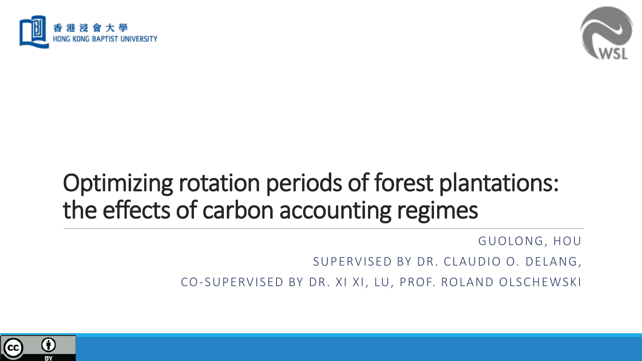



## Optimizing rotation periods of forest plantations: the effects of carbon accounting regimes

GUOLONG, HOU

SUPERVISED BY DR. CLAUDIO O. DELANG,

CO-SUPERVISED BY DR. XI XI, LU, PROF. ROLAND OLSCHEWSKI

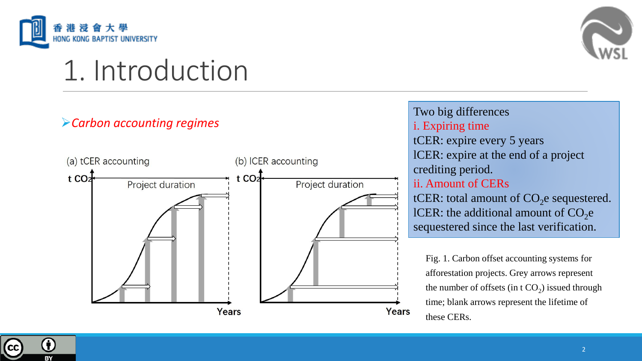

# 1. Introduction

#### ➢*Carbon accounting regimes*



#### Two big differences i. Expiring time tCER: expire every 5 years lCER: expire at the end of a project crediting period. ii. Amount of CERs tCER: total amount of  $CO<sub>2</sub>e$  sequestered. lCER: the additional amount of  $CO<sub>2</sub>e$ sequestered since the last verification.

Fig. 1. Carbon offset accounting systems for afforestation projects. Grey arrows represent the number of offsets (in t  $CO<sub>2</sub>$ ) issued through time; blank arrows represent the lifetime of these CERs.

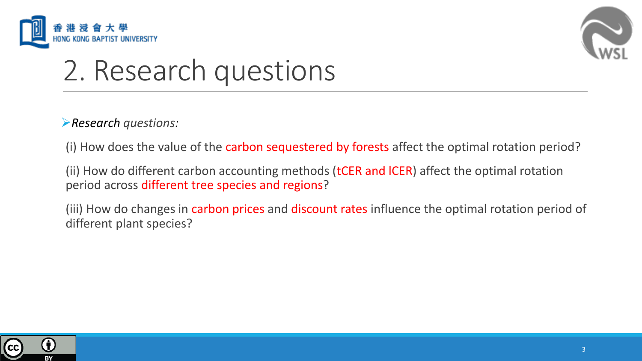



# 2. Research questions

➢*Research questions:* 

(i) How does the value of the carbon sequestered by forests affect the optimal rotation period?

(ii) How do different carbon accounting methods (tCER and ICER) affect the optimal rotation period across different tree species and regions?

(iii) How do changes in carbon prices and discount rates influence the optimal rotation period of different plant species?

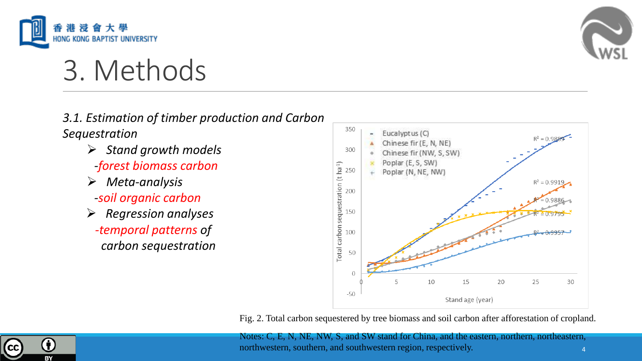



# 3. Methods

#### *3.1. Estimation of timber production and Carbon Sequestration*

- ➢ *Stand growth models -forest biomass carbon*
- ➢ *Meta-analysis*
- *-soil organic carbon*
- ➢ *Regression analyses -temporal patterns of carbon sequestration*



Fig. 2. Total carbon sequestered by tree biomass and soil carbon after afforestation of cropland.



Notes: C, E, N, NE, NW, S, and SW stand for China, and the eastern, northern, northeastern, northwestern, southern, and southwestern region, respectively.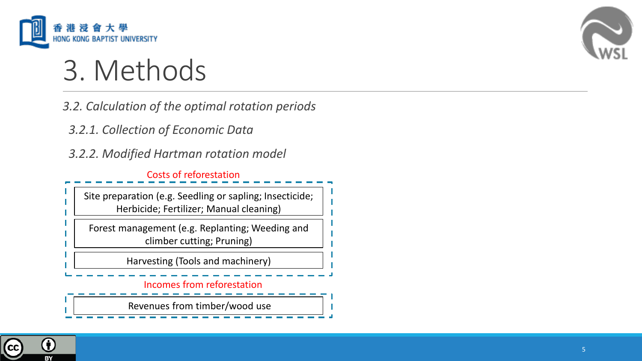

# 3. Methods

*3.2. Calculation of the optimal rotation periods*

*3.2.1. Collection of Economic Data*

*3.2.2. Modified Hartman rotation model*

Costs of reforestation

Site preparation (e.g. Seedling or sapling; Insecticide; Herbicide; Fertilizer; Manual cleaning)

Forest management (e.g. Replanting; Weeding and climber cutting; Pruning)

Harvesting (Tools and machinery)

#### Incomes from reforestation

Revenues from timber/wood use



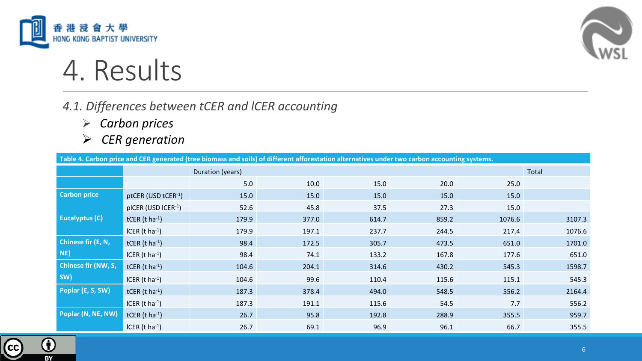



## 4. Results

### *4.1. Differences between tCER and lCER accounting*

- ➢ *Carbon prices*
- ➢ *CER generation*

**Table 4. Carbon price and CER generated (tree biomass and soils) of different afforestation alternatives under two carbon accounting systems.**

|                       |                            | Duration (years) |       |       |       |        | Total  |
|-----------------------|----------------------------|------------------|-------|-------|-------|--------|--------|
|                       |                            | 5.0              | 10.0  | 15.0  | 20.0  | 25.0   |        |
| <b>Carbon price</b>   | ptCER (USD tCER-1)         | 15.0             | 15.0  | 15.0  | 15.0  | 15.0   |        |
|                       | pICER (USD ICER-1)         | 52.6             | 45.8  | 37.5  | 27.3  | 15.0   |        |
| <b>Eucalyptus (C)</b> | tCER $(t \text{ ha}^{-1})$ | 179.9            | 377.0 | 614.7 | 859.2 | 1076.6 | 3107.3 |
|                       | ICER $(t \text{ ha}^{-1})$ | 179.9            | 197.1 | 237.7 | 244.5 | 217.4  | 1076.6 |
| Chinese fir (E, N,    | tCER $(t \text{ ha}^{-1})$ | 98.4             | 172.5 | 305.7 | 473.5 | 651.0  | 1701.0 |
| NE)                   | ICER $(t \text{ ha}^{-1})$ | 98.4             | 74.1  | 133.2 | 167.8 | 177.6  | 651.0  |
| Chinese fir (NW, S,   | tCER $(t \text{ ha}^{-1})$ | 104.6            | 204.1 | 314.6 | 430.2 | 545.3  | 1598.7 |
| SW)                   | ICER $(t \text{ ha}^{-1})$ | 104.6            | 99.6  | 110.4 | 115.6 | 115.1  | 545.3  |
| Poplar (E, S, SW)     | tCER $(t \text{ ha}^{-1})$ | 187.3            | 378.4 | 494.0 | 548.5 | 556.2  | 2164.4 |
|                       | ICER $(t \text{ ha}^{-1})$ | 187.3            | 191.1 | 115.6 | 54.5  | 7.7    | 556.2  |
| Poplar (N, NE, NW)    | tCER $(t \text{ ha}^{-1})$ | 26.7             | 95.8  | 192.8 | 288.9 | 355.5  | 959.7  |
|                       | ICER $(t \text{ ha}^{-1})$ | 26.7             | 69.1  | 96.9  | 96.1  | 66.7   | 355.5  |

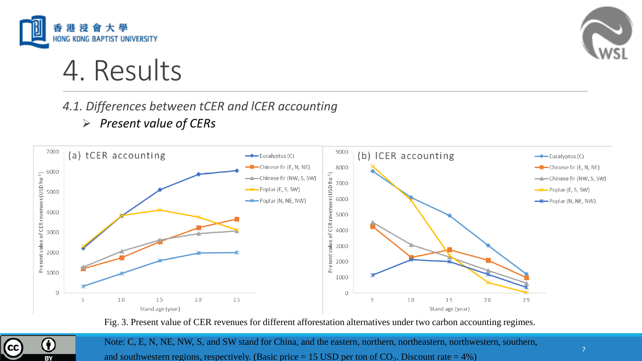



## 4. Results

### *4.1. Differences between tCER and lCER accounting*

➢ *Present value of CERs*



Fig. 3. Present value of CER revenues for different afforestation alternatives under two carbon accounting regimes.



Note: C, E, N, NE, NW, S, and SW stand for China, and the eastern, northern, northeastern, northwestern, southern, and southwestern regions, respectively. (Basic price = 15 USD per ton of  $CO<sub>2</sub>$ . Discount rate = 4%)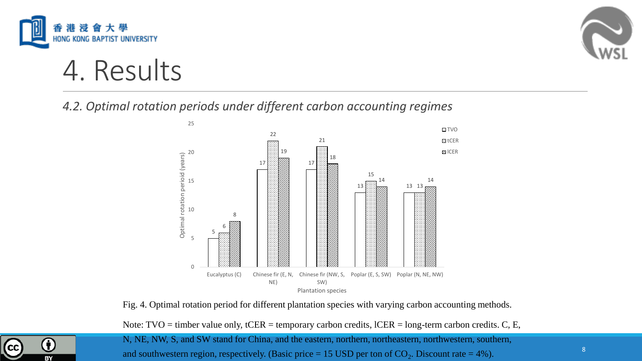



4. Results

*4.2. Optimal rotation periods under different carbon accounting regimes* 



Fig. 4. Optimal rotation period for different plantation species with varying carbon accounting methods.

Note: TVO = timber value only, tCER = temporary carbon credits, lCER = long-term carbon credits. C, E,



N, NE, NW, S, and SW stand for China, and the eastern, northern, northeastern, northwestern, southern, and southwestern region, respectively. (Basic price = 15 USD per ton of  $CO_2$ . Discount rate = 4%).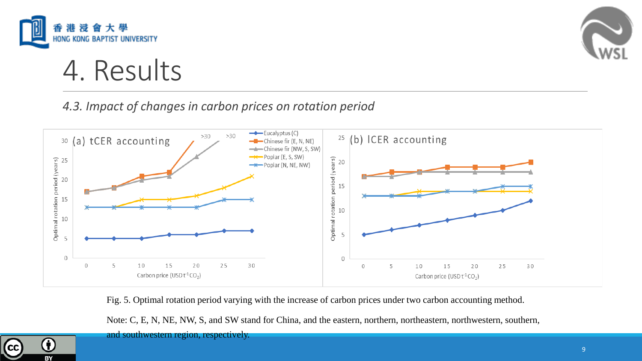



## 4. Results

### *4.3. Impact of changes in carbon prices on rotation period*



Fig. 5. Optimal rotation period varying with the increase of carbon prices under two carbon accounting method.

Note: C, E, N, NE, NW, S, and SW stand for China, and the eastern, northern, northeastern, northwestern, southern,

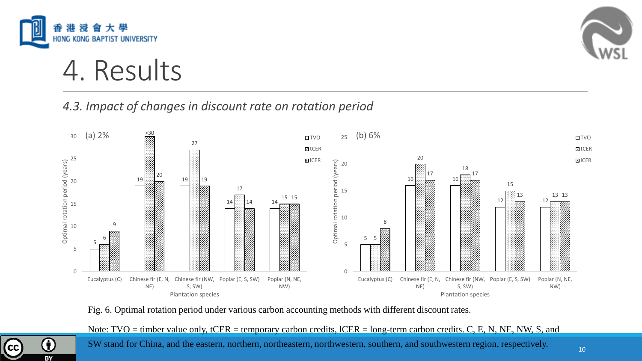



4. Results

#### *4.3. Impact of changes in discount rate on rotation period*



Fig. 6. Optimal rotation period under various carbon accounting methods with different discount rates.



Note: TVO = timber value only, tCER = temporary carbon credits, lCER = long-term carbon credits. C, E, N, NE, NW, S, and

SW stand for China, and the eastern, northern, northeastern, northwestern, southern, and southwestern region, respectively.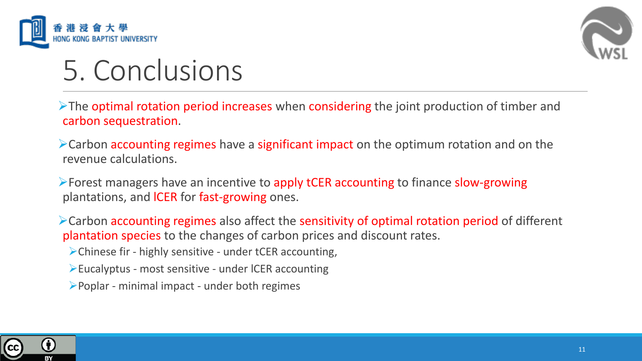



# 5. Conclusions

➢The optimal rotation period increases when considering the joint production of timber and carbon sequestration.

➢Carbon accounting regimes have a significant impact on the optimum rotation and on the revenue calculations.

➢Forest managers have an incentive to apply tCER accounting to finance slow-growing plantations, and lCER for fast-growing ones.

➢Carbon accounting regimes also affect the sensitivity of optimal rotation period of different plantation species to the changes of carbon prices and discount rates.

➢Chinese fir - highly sensitive - under tCER accounting,

➢Eucalyptus - most sensitive - under lCER accounting

➢Poplar - minimal impact - under both regimes